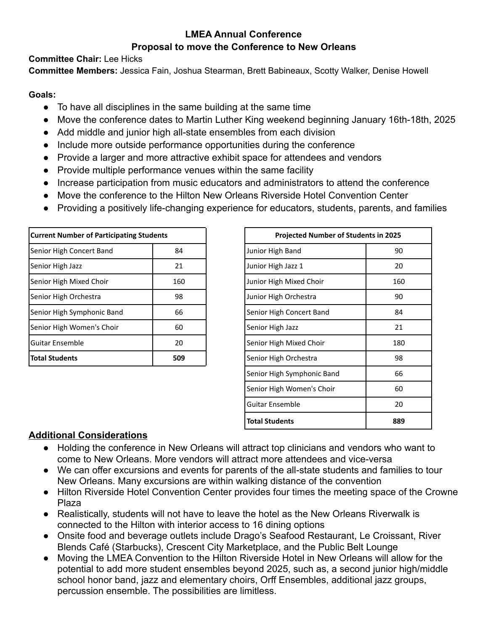## **LMEA Annual Conference Proposal to move the Conference to New Orleans**

**Committee Chair:** Lee Hicks

**Committee Members:** Jessica Fain, Joshua Stearman, Brett Babineaux, Scotty Walker, Denise Howell

#### **Goals:**

- To have all disciplines in the same building at the same time
- Move the conference dates to Martin Luther King weekend beginning January 16th-18th, 2025
- Add middle and junior high all-state ensembles from each division
- Include more outside performance opportunities during the conference
- Provide a larger and more attractive exhibit space for attendees and vendors
- Provide multiple performance venues within the same facility
- Increase participation from music educators and administrators to attend the conference
- Move the conference to the Hilton New Orleans Riverside Hotel Convention Center
- Providing a positively life-changing experience for educators, students, parents, and families

| <b>Current Number of Participating Students</b> |     | <b>Projected Number of Students in 2025</b> |
|-------------------------------------------------|-----|---------------------------------------------|
| Senior High Concert Band                        | 84  | Junior High Band                            |
| Senior High Jazz                                | 21  | Junior High Jazz 1                          |
| Senior High Mixed Choir                         | 160 | Junior High Mixed Choir                     |
| Senior High Orchestra                           | 98  | Junior High Orchestra                       |
| Senior High Symphonic Band                      | 66  | Senior High Concert Band                    |
| Senior High Women's Choir                       | 60  | Senior High Jazz                            |
| Guitar Ensemble                                 | 20  | Senior High Mixed Choir                     |
| <b>Total Students</b>                           | 509 | Senior High Orchestra                       |

| <b>Projected Number of Students in 2025</b> |     |  |
|---------------------------------------------|-----|--|
| Junior High Band                            | 90  |  |
| Junior High Jazz 1                          | 20  |  |
| Junior High Mixed Choir                     | 160 |  |
| Junior High Orchestra                       | 90  |  |
| Senior High Concert Band                    | 84  |  |
| Senior High Jazz                            | 21  |  |
| Senior High Mixed Choir                     | 180 |  |
| Senior High Orchestra                       | 98  |  |
| Senior High Symphonic Band                  | 66  |  |
| Senior High Women's Choir                   | 60  |  |
| Guitar Ensemble                             | 20  |  |
| <b>Total Students</b>                       | 889 |  |

## **Additional Considerations**

- Holding the conference in New Orleans will attract top clinicians and vendors who want to come to New Orleans. More vendors will attract more attendees and vice-versa
- We can offer excursions and events for parents of the all-state students and families to tour New Orleans. Many excursions are within walking distance of the convention
- Hilton Riverside Hotel Convention Center provides four times the meeting space of the Crowne Plaza
- Realistically, students will not have to leave the hotel as the New Orleans Riverwalk is connected to the Hilton with interior access to 16 dining options
- Onsite food and beverage outlets include Drago's Seafood Restaurant, Le Croissant, River Blends Café (Starbucks), Crescent City Marketplace, and the Public Belt Lounge
- Moving the LMEA Convention to the Hilton Riverside Hotel in New Orleans will allow for the potential to add more student ensembles beyond 2025, such as, a second junior high/middle school honor band, jazz and elementary choirs, Orff Ensembles, additional jazz groups, percussion ensemble. The possibilities are limitless.